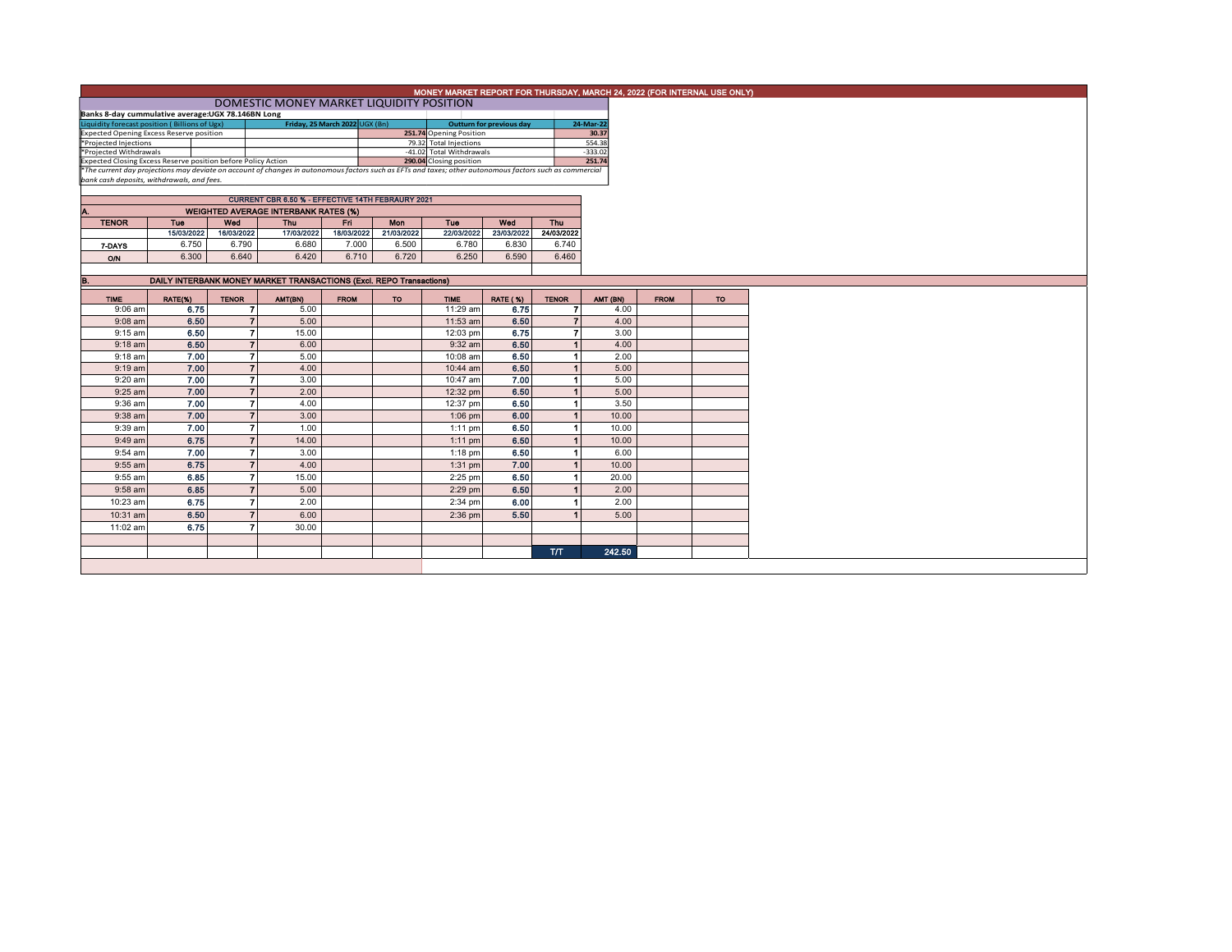|                                                                                                                                                          | MONEY MARKET REPORT FOR THURSDAY, MARCH 24, 2022 (FOR INTERNAL USE ONLY)<br>DOMESTIC MONEY MARKET LIQUIDITY POSITION |  |                   |                                                                     |                                |                   |                                                    |                          |                   |                     |             |     |  |
|----------------------------------------------------------------------------------------------------------------------------------------------------------|----------------------------------------------------------------------------------------------------------------------|--|-------------------|---------------------------------------------------------------------|--------------------------------|-------------------|----------------------------------------------------|--------------------------|-------------------|---------------------|-------------|-----|--|
|                                                                                                                                                          | Banks 8-day cummulative average:UGX 78.146BN Long                                                                    |  |                   |                                                                     |                                |                   |                                                    |                          |                   |                     |             |     |  |
|                                                                                                                                                          |                                                                                                                      |  |                   |                                                                     | Friday, 25 March 2022 UGX (Bn) |                   |                                                    | Outturn for previous day |                   | 24-Mar-22           |             |     |  |
| Liquidity forecast position (Billions of Ugx)<br>Expected Opening Excess Reserve position                                                                |                                                                                                                      |  |                   |                                                                     |                                |                   | 251.74 Opening Position                            |                          |                   | 30.37               |             |     |  |
| *Projected Injections<br>*Projected Withdrawals                                                                                                          |                                                                                                                      |  |                   |                                                                     |                                |                   | 79.32 Total Injections<br>-41.02 Total Withdrawals |                          |                   | 554.38<br>$-333.02$ |             |     |  |
| Expected Closing Excess Reserve position before Policy Action                                                                                            |                                                                                                                      |  |                   |                                                                     |                                |                   | 290.04 Closing position                            |                          |                   | 251.74              |             |     |  |
| *The current day projections may deviate on account of changes in autonomous factors such as EFTs and taxes; other autonomous factors such as commercial |                                                                                                                      |  |                   |                                                                     |                                |                   |                                                    |                          |                   |                     |             |     |  |
| bank cash deposits, withdrawals, and fees.                                                                                                               |                                                                                                                      |  |                   |                                                                     |                                |                   |                                                    |                          |                   |                     |             |     |  |
|                                                                                                                                                          |                                                                                                                      |  |                   |                                                                     |                                |                   |                                                    |                          |                   |                     |             |     |  |
|                                                                                                                                                          |                                                                                                                      |  |                   | <b>CURRENT CBR 6.50 % - EFFECTIVE 14TH FEBRAURY 2021</b>            |                                |                   |                                                    |                          |                   |                     |             |     |  |
| Α.                                                                                                                                                       |                                                                                                                      |  |                   | <b>WEIGHTED AVERAGE INTERBANK RATES (%)</b>                         |                                |                   |                                                    |                          |                   |                     |             |     |  |
| <b>TENOR</b>                                                                                                                                             | <b>Tue</b><br>15/03/2022                                                                                             |  | Wed<br>16/03/2022 | <b>Thu</b><br>17/03/2022                                            | Eri.<br>18/03/2022             | Mon<br>21/03/2022 | Tue<br>22/03/2022                                  | Wed<br>23/03/2022        | Thu<br>24/03/2022 |                     |             |     |  |
|                                                                                                                                                          | 6.750                                                                                                                |  | 6.790             | 6.680                                                               | 7.000                          | 6.500             | 6.780                                              | 6.830                    | 6.740             |                     |             |     |  |
| 7-DAYS                                                                                                                                                   |                                                                                                                      |  |                   |                                                                     |                                |                   |                                                    |                          |                   |                     |             |     |  |
| <b>O/N</b>                                                                                                                                               | 6.300                                                                                                                |  | 6.640             | 6.420                                                               | 6.710                          | 6.720             | 6.250                                              | 6.590                    | 6.460             |                     |             |     |  |
|                                                                                                                                                          |                                                                                                                      |  |                   |                                                                     |                                |                   |                                                    |                          |                   |                     |             |     |  |
| B.                                                                                                                                                       |                                                                                                                      |  |                   | DAILY INTERBANK MONEY MARKET TRANSACTIONS (Excl. REPO Transactions) |                                |                   |                                                    |                          |                   |                     |             |     |  |
| <b>TIME</b>                                                                                                                                              | RATE(%)                                                                                                              |  | <b>TENOR</b>      | AMT(BN)                                                             | <b>FROM</b>                    | TO                | <b>TIME</b>                                        | <b>RATE (%)</b>          | <b>TENOR</b>      | AMT (BN)            | <b>FROM</b> | TO. |  |
| $9:06$ am                                                                                                                                                | 6.75                                                                                                                 |  | 7                 | 5.00                                                                |                                |                   | 11:29 am                                           | 6.75                     |                   | 4.00                |             |     |  |
| $9:08$ am                                                                                                                                                | 6.50                                                                                                                 |  | $\overline{7}$    | 5.00                                                                |                                |                   | 11:53 am                                           | 6.50                     |                   | 4.00                |             |     |  |
| $9:15$ am                                                                                                                                                | 6.50                                                                                                                 |  | $\overline{7}$    | 15.00                                                               |                                |                   | 12:03 pm                                           | 6.75                     | 7                 | 3.00                |             |     |  |
| $9:18$ am                                                                                                                                                | 6.50                                                                                                                 |  | $\overline{7}$    | 6.00                                                                |                                |                   | $9:32$ am                                          | 6.50                     |                   | 4.00                |             |     |  |
| $9:18$ am                                                                                                                                                | 7.00                                                                                                                 |  | $\overline{7}$    | 5.00                                                                |                                |                   | 10:08 am                                           | 6.50                     | 1                 | 2.00                |             |     |  |
| $9:19$ am                                                                                                                                                | 7.00                                                                                                                 |  | $\overline{ }$    | 4.00                                                                |                                |                   | 10:44 am                                           | 6.50                     |                   | 5.00                |             |     |  |
| 9:20 am                                                                                                                                                  | 7.00                                                                                                                 |  | 7                 | 3.00                                                                |                                |                   | 10:47 am                                           | 7.00                     | -1                | 5.00                |             |     |  |
| 9:25 am                                                                                                                                                  | 7.00                                                                                                                 |  | $\overline{7}$    | 2.00                                                                |                                |                   | 12:32 pm                                           | 6.50                     |                   | 5.00                |             |     |  |
| 9:36 am                                                                                                                                                  | 7.00                                                                                                                 |  | 7                 | 4.00                                                                |                                |                   | 12:37 pm                                           | 6.50                     |                   | 3.50                |             |     |  |
| 9:38 am                                                                                                                                                  | 7.00                                                                                                                 |  | $\overline{7}$    | 3.00                                                                |                                |                   | $1:06$ pm                                          | 6.00                     |                   | 10.00               |             |     |  |
| 9:39 am                                                                                                                                                  | 7.00                                                                                                                 |  | $\overline{7}$    | 1.00                                                                |                                |                   | $1:11$ pm                                          | 6.50                     |                   | 10.00               |             |     |  |
| 9:49 am                                                                                                                                                  | 6.75                                                                                                                 |  | $\overline{7}$    | 14.00                                                               |                                |                   | $1:11$ pm                                          | 6.50                     | 1                 | 10.00               |             |     |  |
| 9:54 am                                                                                                                                                  | 7.00                                                                                                                 |  | 7                 | 3.00                                                                |                                |                   | $1:18$ pm                                          | 6.50                     | 1                 | 6.00                |             |     |  |
| 9:55 am                                                                                                                                                  | 6.75                                                                                                                 |  | $\overline{7}$    | 4.00                                                                |                                |                   | $1:31$ pm                                          | 7.00                     |                   | 10.00               |             |     |  |
| 9:55 am                                                                                                                                                  | 6.85                                                                                                                 |  | $\overline{ }$    | 15.00                                                               |                                |                   | $2:25$ pm                                          | 6.50                     | 1                 | 20.00               |             |     |  |
| 9:58 am                                                                                                                                                  | 6.85                                                                                                                 |  | $\overline{7}$    | 5.00                                                                |                                |                   | $2:29$ pm                                          | 6.50                     |                   | 2.00                |             |     |  |
| 10:23 am                                                                                                                                                 | 6.75                                                                                                                 |  | $\overline{7}$    | 2.00                                                                |                                |                   | 2:34 pm                                            | 6.00                     |                   | 2.00                |             |     |  |
| 10:31 am                                                                                                                                                 | 6.50                                                                                                                 |  | $\mathbf{z}$      | 6.00                                                                |                                |                   | 2:36 pm                                            | 5.50                     |                   | 5.00                |             |     |  |
| 11:02 am                                                                                                                                                 | 6.75                                                                                                                 |  | $\overline{7}$    | 30.00                                                               |                                |                   |                                                    |                          |                   |                     |             |     |  |
|                                                                                                                                                          |                                                                                                                      |  |                   |                                                                     |                                |                   |                                                    |                          |                   |                     |             |     |  |
|                                                                                                                                                          |                                                                                                                      |  |                   |                                                                     |                                |                   |                                                    |                          | <b>T/T</b>        | 242.50              |             |     |  |
|                                                                                                                                                          |                                                                                                                      |  |                   |                                                                     |                                |                   |                                                    |                          |                   |                     |             |     |  |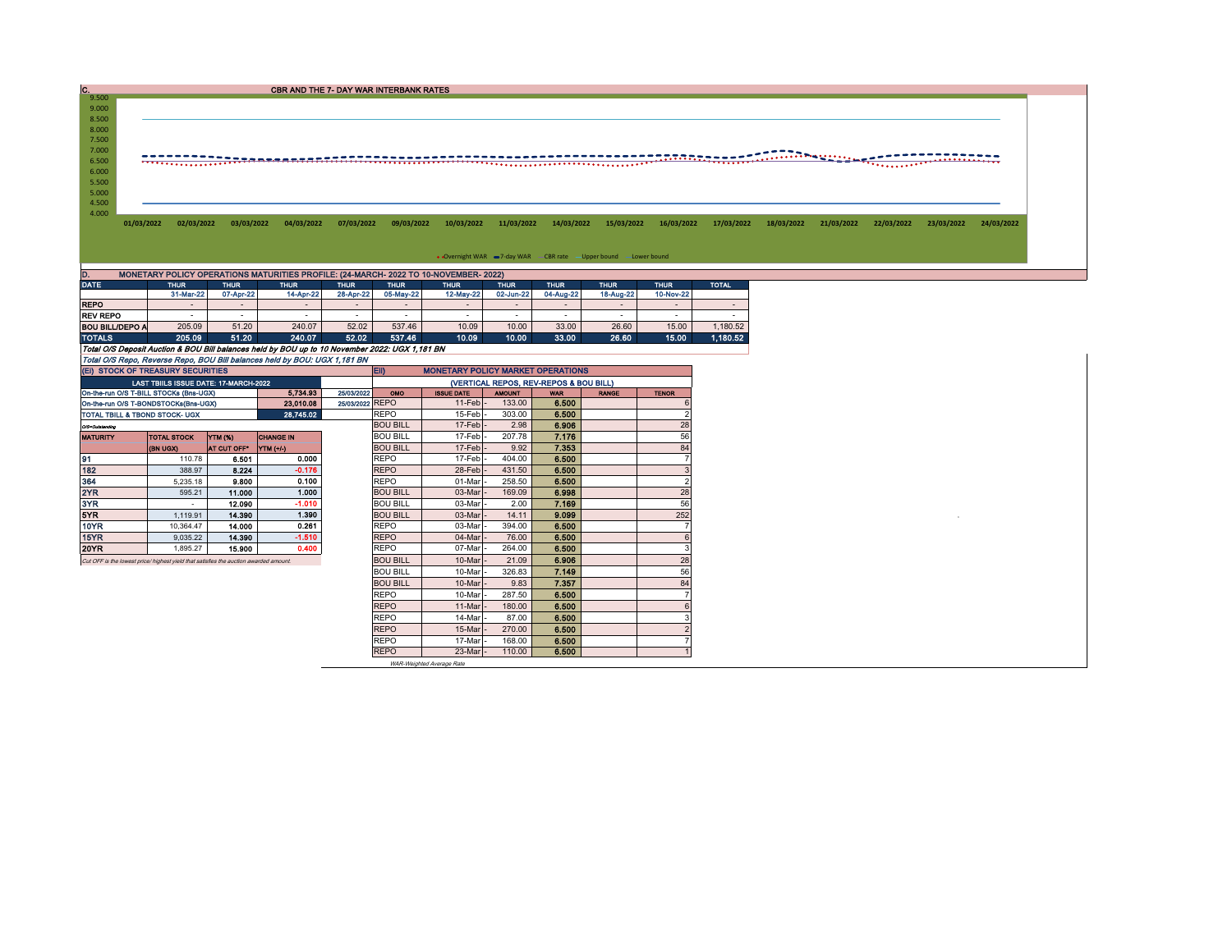C.<br>9.500 CBR AND THE 7- DAY WAR INTERBANK RATES 9.000 8.500 8.000 7.500 7.000 6.500 5.500 6.000 5.000 4.500 4.000 01/03/2022 02/03/2022 03/03/2022 04/03/2022 07/03/2022 09/03/2022 10/03/2022 11/03/2022 14/03/2022 15/03/2022 16/03/2022 17/03/2022 18/03/2022 21/03/2022 22/03/2022 23/03/2022 24/03/2022 • Overnight WAR = 7-day WAR - CBR rate - Upper bound - Lower bound D. MONETARY POLICY OPERATIONS MATURITIES PROFILE: (24-MARCH- 2022 TO 10-NOVEMBER- 2022)

| --              | <u>Monetain performance and monetained in the term with available in the centre in State of the Common and the co</u> |             |             |             |             |             |             |                          |             |             |              |  |  |  |  |
|-----------------|-----------------------------------------------------------------------------------------------------------------------|-------------|-------------|-------------|-------------|-------------|-------------|--------------------------|-------------|-------------|--------------|--|--|--|--|
| DATE            | THUR <sup>'</sup>                                                                                                     | <b>THUR</b> | <b>THUR</b> | <b>THUR</b> | <b>THUR</b> | <b>THUR</b> | <b>THUR</b> | <b>THUR</b>              | <b>THUR</b> | <b>THUR</b> | <b>TOTAL</b> |  |  |  |  |
|                 | 31-Mar-22                                                                                                             | 07-Apr-22   | 14-Apr-22   | 28-Apr-22   | 05-May-22   | 12-May-22   | 02-Jun-22   | 04-Aug-22                | 18-Aug-22   | 10-Nov-22   |              |  |  |  |  |
| <b>REPO</b>     |                                                                                                                       |             |             |             | -           |             |             | $\overline{\phantom{0}}$ |             |             |              |  |  |  |  |
| <b>REV REPO</b> |                                                                                                                       |             | -           |             | -           |             |             |                          | -           |             |              |  |  |  |  |
| BOU BILL/DEPO A | 205.09                                                                                                                | 51.20       | 240.07      | 52.02       | 537.46      | 10.09       | 10.00       | 33.00                    | 26.60       | 15.00       | .180.52      |  |  |  |  |
| TOTALS          | 205.09                                                                                                                | 51.20       | 240.07      | 52.02       | 537.46      | 10.09       | 10.00       | 33.00                    | 26.60       | 15.00       | 1.180.52     |  |  |  |  |

Total O/S Deposit Auction & BOU Bill balances held by BOU up to 10 November 2022: UGX 1,181 BN Total O/S Repo, Reverse Repo, BOU Bill balances held by BOU: UGX 1,181 BN

| (EI) STOCK OF TREASURY SECURITIES                                                     |                                              |                |                  |                 | <b>EID</b><br><b>MONETARY POLICY MARKET OPERATIONS</b> |                   |               |            |              |              |  |  |
|---------------------------------------------------------------------------------------|----------------------------------------------|----------------|------------------|-----------------|--------------------------------------------------------|-------------------|---------------|------------|--------------|--------------|--|--|
|                                                                                       | <b>LAST TBIILS ISSUE DATE: 17-MARCH-2022</b> |                |                  |                 | (VERTICAL REPOS, REV-REPOS & BOU BILL)                 |                   |               |            |              |              |  |  |
| On-the-run O/S T-BILL STOCKs (Bns-UGX)                                                |                                              |                | 5.734.93         | 25/03/2022      | <b>OMO</b>                                             | <b>ISSUE DATE</b> | <b>AMOUNT</b> | <b>WAR</b> | <b>RANGE</b> | <b>TENOR</b> |  |  |
| On-the-run O/S T-BONDSTOCKs(Bns-UGX)                                                  |                                              |                | 23.010.08        | 25/03/2022 REPO |                                                        | 11-Feb            | 133.00        | 6.500      |              |              |  |  |
| TOTAL TBILL & TBOND STOCK- UGX                                                        |                                              |                | 28.745.02        |                 | <b>REPO</b>                                            | 15-Feb            | 303.00        | 6.500      |              |              |  |  |
| O/S=Outstanding                                                                       |                                              |                |                  |                 | <b>BOU BILL</b>                                        | $17-Feb$          | 2.98          | 6.906      |              | 28           |  |  |
| <b>MATURITY</b>                                                                       | <b>TOTAL STOCK</b>                           | <b>YTM (%)</b> | <b>CHANGE IN</b> |                 | <b>BOU BILL</b>                                        | 17-Feb-           | 207.78        | 7.176      |              | 56           |  |  |
|                                                                                       | (BN UGX)                                     | AT CUT OFF"    | <b>YTM (+/-)</b> |                 | <b>BOU BILL</b>                                        | 17-Feb            | 9.92          | 7.353      |              | 84           |  |  |
| 91                                                                                    | 110.78                                       | 6.501          | 0.000            |                 | <b>REPO</b>                                            | 17-Feb            | 404.00        | 6.500      |              |              |  |  |
| 182                                                                                   | 388.97                                       | 8.224          | $-0.176$         |                 | <b>REPO</b>                                            | 28-Feb            | 431.50        | 6.500      |              |              |  |  |
| 364                                                                                   | 5.235.18                                     | 9.800          | 0.100            |                 | <b>REPO</b>                                            | 01-Mar            | 258.50        | 6.500      |              |              |  |  |
| 2YR                                                                                   | 595.21                                       | 11.000         | 1.000            |                 | <b>BOU BILL</b>                                        | 03-Mar            | 169.09        | 6.998      |              | 28           |  |  |
| 3YR                                                                                   | $\overline{\phantom{a}}$                     | 12.090         | $-1.010$         |                 | <b>BOU BILL</b>                                        | 03-Mar            | 2.00          | 7.169      |              | 56           |  |  |
| 5YR                                                                                   | 1.119.91                                     | 14,390         | 1.390            |                 | <b>BOU BILL</b>                                        | 03-Mar            | 14.11         | 9.099      |              | 252          |  |  |
| 10YR                                                                                  | 10.364.47                                    | 14.000         | 0.261            |                 | <b>REPO</b>                                            | 03-Mar            | 394.00        | 6.500      |              |              |  |  |
| 15YR                                                                                  | 9.035.22                                     | 14.390         | $-1.510$         |                 | <b>REPO</b>                                            | 04-Mar            | 76.00         | 6.500      |              |              |  |  |
| <b>20YR</b>                                                                           | 1.895.27                                     | 15.900         | 0.400            |                 | <b>REPO</b>                                            | 07-Mar            | 264.00        | 6.500      |              |              |  |  |
| Cut OFF is the lowest price/ highest yield that satisfies the auction awarded amount. |                                              |                |                  |                 | <b>BOU BILL</b>                                        | 10-Mar            | 21.09         | 6.906      |              | 28           |  |  |
|                                                                                       |                                              |                |                  |                 | <b>BOU BILL</b>                                        | 10-Mar            | 326.83        | 7.149      |              | 56           |  |  |
|                                                                                       |                                              |                |                  |                 | <b>BOU BILL</b>                                        | 10-Mar            | 9.83          | 7.357      |              | 84           |  |  |
|                                                                                       |                                              |                |                  |                 | <b>REPO</b>                                            | 10-Mar            | 287.50        | 6.500      |              |              |  |  |
|                                                                                       |                                              |                |                  |                 | <b>REPO</b>                                            | 11-Mar            | 180.00        | 6.500      |              |              |  |  |
|                                                                                       |                                              |                |                  |                 | <b>REPO</b>                                            | 14-Mar            | 87.00         | 6.500      |              |              |  |  |
|                                                                                       |                                              |                |                  |                 | <b>REPO</b>                                            | 15-Mar            | 270.00        | 6.500      |              |              |  |  |
|                                                                                       |                                              |                |                  |                 | <b>REPO</b>                                            | 17-Mar            | 168.00        | 6.500      |              |              |  |  |
|                                                                                       |                                              |                |                  |                 | <b>REPO</b>                                            | 23-Mar            | 110.00        | 6.500      |              |              |  |  |

WAR-Weighted Average Rate